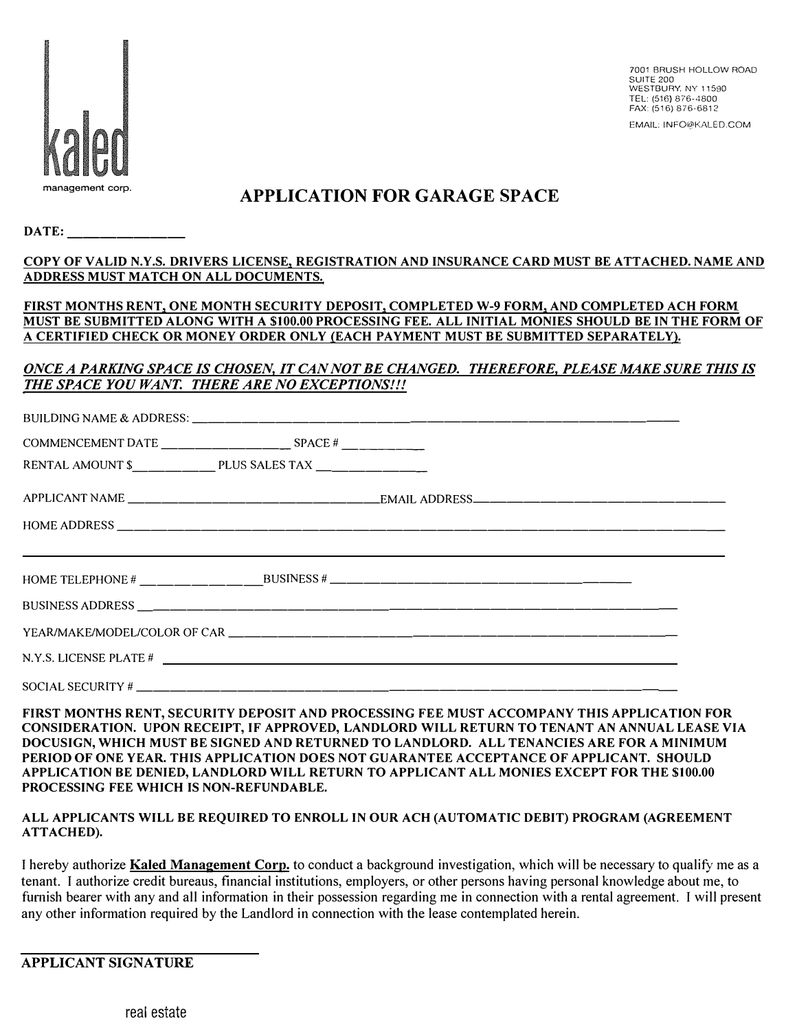

7001 BRUSH HOLLOW ROAD SUITE 200 WESTBURY. NY 11590 TEL: (516) 876-4800 FAX: (516) 876-6812 EMAIL: INFO@KALED.COM

# **management corp. APPLICATION FOR GARAGE SPACE**

**DATE:** 

| COPY OF VALID N.Y.S. DRIVERS LICENSE, REGISTRATION AND INSURANCE CARD MUST BE ATTACHED. NAME AND |  |  |
|--------------------------------------------------------------------------------------------------|--|--|
| ADDRESS MUST MATCH ON ALL DOCUMENTS.                                                             |  |  |

### **FIRST MONTHS RENT, ONE MONTH SECURITY DEPOSIT, COMPLETED W-9 FORM, AND COMPLETED ACH FORM MUST BE SUBMITTED ALONG WITH A \$100.00 PROCESSING FEE. ALL INITIAL MONIES SHOULD BE IN THE FORM OF A CERTIFIED CHECK OR MONEY ORDER ONLY (EACH PAYMENT MUST BE SUBMITTED SEPARATELY).**

### *ONCE A PARKING SPACE IS CHOSEN, IT CAN NOT BE CHANGED. THEREFORE, PLEASE MAKE SURE THIS IS THE SPACE YOU WANT. THERE ARE NO EXCEPTIONS!!!*

| COMMENCEMENT DATE $\_\_\_\_\_\_\_\_\_\_\_\_\_$ SPACE # $\_\_\_\_\_\_\_\_\_\_$ |  |                                                             |  |  |
|-------------------------------------------------------------------------------|--|-------------------------------------------------------------|--|--|
|                                                                               |  |                                                             |  |  |
|                                                                               |  |                                                             |  |  |
|                                                                               |  |                                                             |  |  |
|                                                                               |  | <u> 1999 - Jan Barbara, Amerikaansk politiker (d. 1989)</u> |  |  |
|                                                                               |  |                                                             |  |  |
|                                                                               |  |                                                             |  |  |
|                                                                               |  |                                                             |  |  |
|                                                                               |  |                                                             |  |  |

**FIRST MONTHS RENT, SECURITY DEPOSIT AND PROCESSING FEE MUST ACCOMPANY THIS APPLICATION FOR CONSIDERATION. UPON RECEIPT, IF APPROVED, LANDLORD WILL RETURN TO TENANT AN ANNUAL LEASE VIA DOCUSIGN, WHICH MUST BE SIGNED AND RETURNED TO LANDLORD. ALL TENANCIES ARE FOR A MINIMUM PERIOD OF ONE YEAR. THIS APPLICATION DOES NOT GUARANTEE ACCEPTANCE OF APPLICANT. SHOULD APPLICATION BE DENIED, LANDLORD WILL RETURN TO APPLICANT ALL MONIES EXCEPT FOR THE \$100.00 PROCESSING FEE WHICH IS NON-REFUNDABLE.** 

### **ALL APPLICANTS WILL BE REQUIRED TO ENROLL IN OUR ACH (AUTOMATIC DEBIT) PROGRAM (AGREEMENT ATTACHED).**

I hereby authorize **Kaled Management Corp.** to conduct a background investigation, which will be necessary to qualify me as a tenant. I authorize credit bureaus, financial institutions, employers, or other persons having personal knowledge about me, to furnish bearer with any and all information in their possession regarding me in connection with a rental agreement. I will present any other information required by the Landlord in connection with the lease contemplated herein.

### **APPLICANT SIGNATURE**

real estate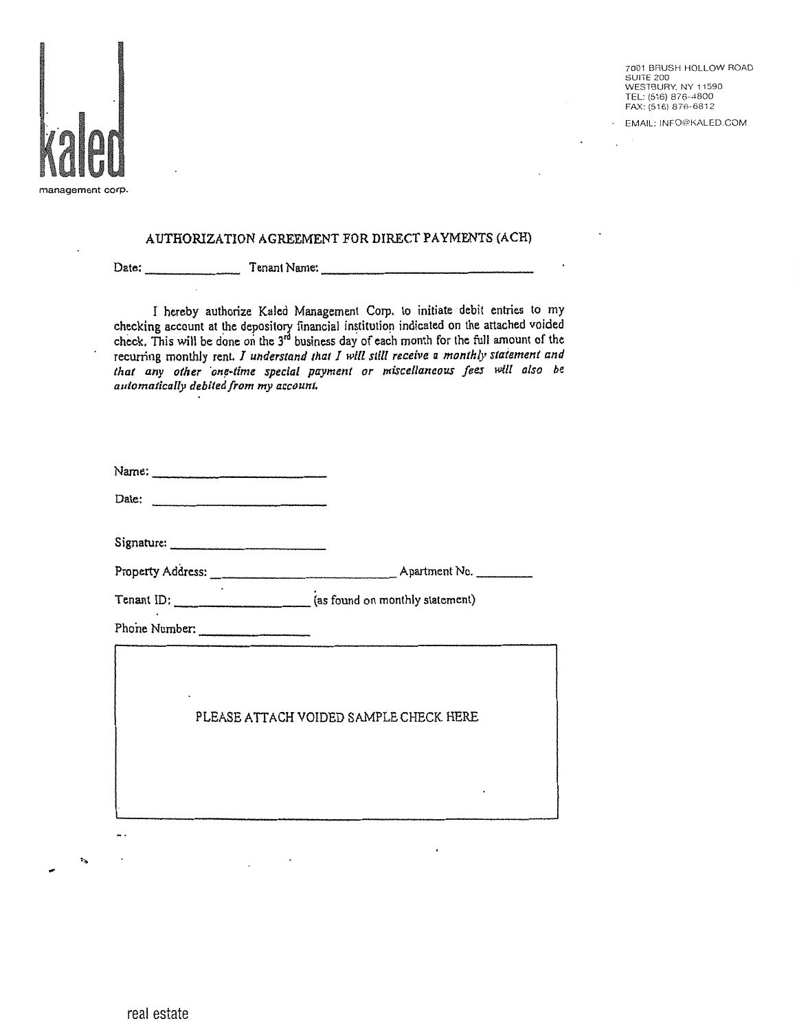

7001 BRUSH HOLLOW ROAD **SUITE 200** WESTBURY, NY 11590 TEL: (516) 876-4800 FAX: (516) 876-6812

EMAIL: INFO@KALED.COM

### AUTHORIZATION AGREEMENT FOR DIRECT PAYMENTS (ACH)

Tenant Name:

Date;

I hereby authorize Kaled Management Corp. to initiate debit entries to my checking account at the depository financial institution indicated on the attached voided check. This will be done on the 3<sup>rd</sup> business day of each month for the full amount of the recurring monthly rent. I understand that I will still receive a monthly statement and that any other one-time special payment or miscellaneous fees will also be automatically debited from my account.

| Phone Number: |                                        |
|---------------|----------------------------------------|
|               | PLEASE ATTACH VOIDED SAMPLE CHECK HERE |
|               |                                        |

 $\ddot{\phantom{a}}$